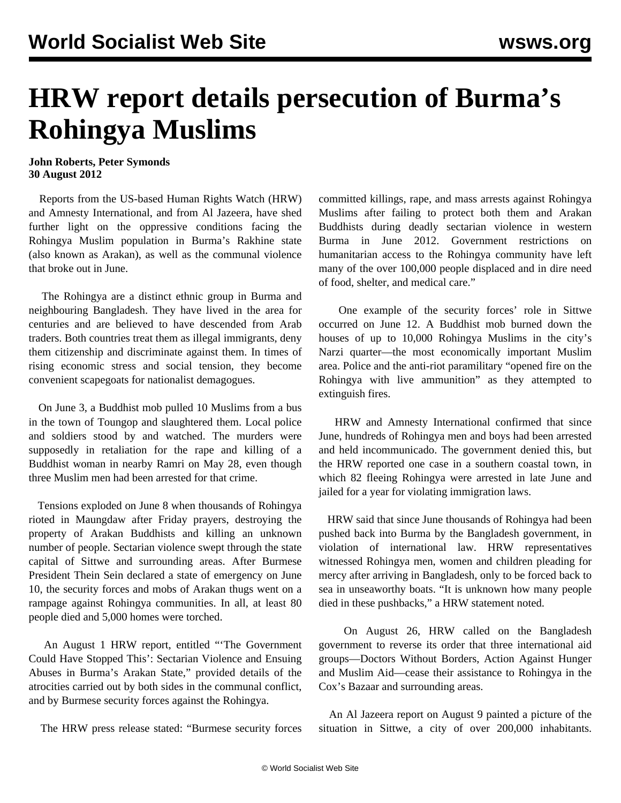## **HRW report details persecution of Burma's Rohingya Muslims**

## **John Roberts, Peter Symonds 30 August 2012**

 Reports from the US-based Human Rights Watch (HRW) and Amnesty International, and from Al Jazeera, have shed further light on the oppressive conditions facing the Rohingya Muslim population in Burma's Rakhine state (also known as Arakan), as well as the communal violence that broke out in June.

 The Rohingya are a distinct ethnic group in Burma and neighbouring Bangladesh. They have lived in the area for centuries and are believed to have descended from Arab traders. Both countries treat them as illegal immigrants, deny them citizenship and discriminate against them. In times of rising economic stress and social tension, they become convenient scapegoats for nationalist demagogues.

 On June 3, a Buddhist mob pulled 10 Muslims from a bus in the town of Toungop and slaughtered them. Local police and soldiers stood by and watched. The murders were supposedly in retaliation for the rape and killing of a Buddhist woman in nearby Ramri on May 28, even though three Muslim men had been arrested for that crime.

 Tensions exploded on June 8 when thousands of Rohingya rioted in Maungdaw after Friday prayers, destroying the property of Arakan Buddhists and killing an unknown number of people. Sectarian violence swept through the state capital of Sittwe and surrounding areas. After Burmese President Thein Sein declared a state of emergency on June 10, the security forces and mobs of Arakan thugs went on a rampage against Rohingya communities. In all, at least 80 people died and 5,000 homes were torched.

 An August 1 HRW report, entitled "'The Government Could Have Stopped This': Sectarian Violence and Ensuing Abuses in Burma's Arakan State," provided details of the atrocities carried out by both sides in the communal conflict, and by Burmese security forces against the Rohingya.

The HRW press release stated: "Burmese security forces

committed killings, rape, and mass arrests against Rohingya Muslims after failing to protect both them and Arakan Buddhists during deadly sectarian violence in western Burma in June 2012. Government restrictions on humanitarian access to the Rohingya community have left many of the over 100,000 people displaced and in dire need of food, shelter, and medical care."

 One example of the security forces' role in Sittwe occurred on June 12. A Buddhist mob burned down the houses of up to 10,000 Rohingya Muslims in the city's Narzi quarter—the most economically important Muslim area. Police and the anti-riot paramilitary "opened fire on the Rohingya with live ammunition" as they attempted to extinguish fires.

 HRW and Amnesty International confirmed that since June, hundreds of Rohingya men and boys had been arrested and held incommunicado. The government denied this, but the HRW reported one case in a southern coastal town, in which 82 fleeing Rohingya were arrested in late June and jailed for a year for violating immigration laws.

 HRW said that since June thousands of Rohingya had been pushed back into Burma by the Bangladesh government, in violation of international law. HRW representatives witnessed Rohingya men, women and children pleading for mercy after arriving in Bangladesh, only to be forced back to sea in unseaworthy boats. "It is unknown how many people died in these pushbacks," a HRW statement noted.

 On August 26, HRW called on the Bangladesh government to reverse its order that three international aid groups—Doctors Without Borders, Action Against Hunger and Muslim Aid—cease their assistance to Rohingya in the Cox's Bazaar and surrounding areas.

 An Al Jazeera report on August 9 painted a picture of the situation in Sittwe, a city of over 200,000 inhabitants.